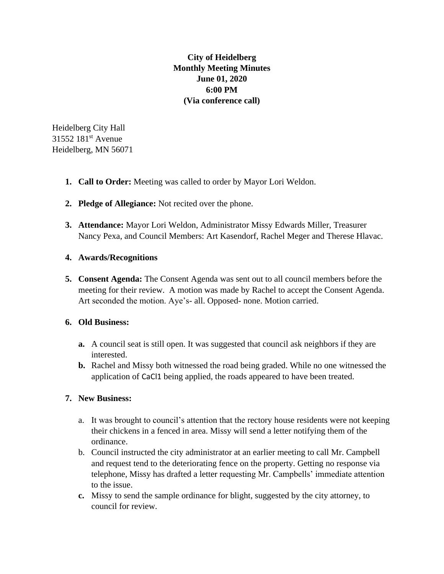**City of Heidelberg Monthly Meeting Minutes June 01, 2020 6:00 PM (Via conference call)**

Heidelberg City Hall 31552 181st Avenue Heidelberg, MN 56071

- **1. Call to Order:** Meeting was called to order by Mayor Lori Weldon.
- **2. Pledge of Allegiance:** Not recited over the phone.
- **3. Attendance:** Mayor Lori Weldon, Administrator Missy Edwards Miller, Treasurer Nancy Pexa, and Council Members: Art Kasendorf, Rachel Meger and Therese Hlavac.

## **4. Awards/Recognitions**

**5. Consent Agenda:** The Consent Agenda was sent out to all council members before the meeting for their review. A motion was made by Rachel to accept the Consent Agenda. Art seconded the motion. Aye's- all. Opposed- none. Motion carried.

## **6. Old Business:**

- **a.** A council seat is still open. It was suggested that council ask neighbors if they are interested.
- **b.** Rachel and Missy both witnessed the road being graded. While no one witnessed the application of CaCl1 being applied, the roads appeared to have been treated.

## **7. New Business:**

- a. It was brought to council's attention that the rectory house residents were not keeping their chickens in a fenced in area. Missy will send a letter notifying them of the ordinance.
- b. Council instructed the city administrator at an earlier meeting to call Mr. Campbell and request tend to the deteriorating fence on the property. Getting no response via telephone, Missy has drafted a letter requesting Mr. Campbells' immediate attention to the issue.
- **c.** Missy to send the sample ordinance for blight, suggested by the city attorney, to council for review.